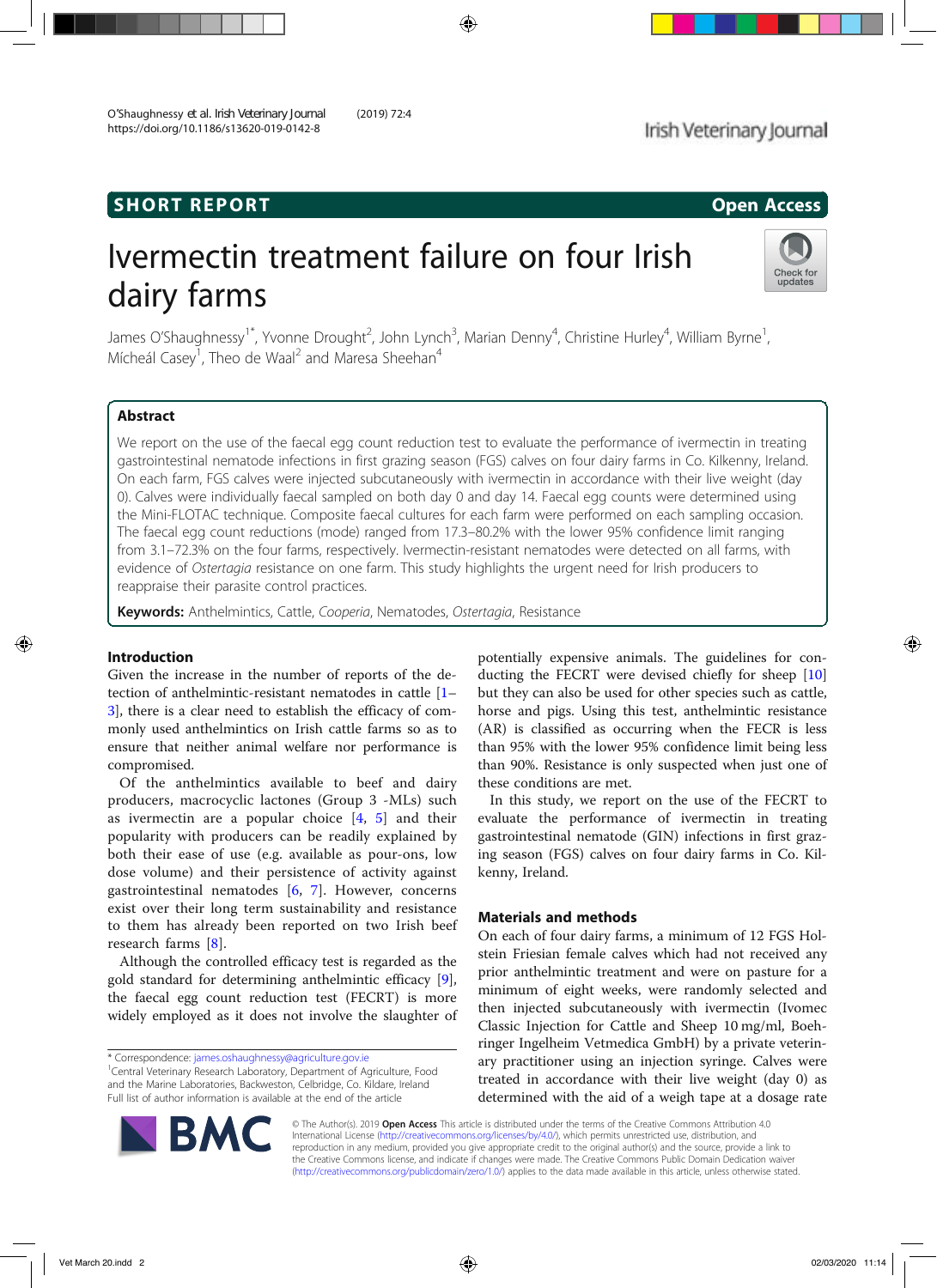# SHORT REPORT And the state of the state of the state of the state of the state of the state of the state of the state of the state of the state of the state of the state of the state of the state of the state of the state

# Ivermectin treatment failure on four Irish dairy farms



James O'Shaughnessy<sup>1\*</sup>, Yvonne Drought<sup>2</sup>, John Lynch<sup>3</sup>, Marian Denny<sup>4</sup>, Christine Hurley<sup>4</sup>, William Byrne<sup>1</sup> , Mícheál Casey<sup>1</sup>, Theo de Waal<sup>2</sup> and Maresa Sheehan<sup>4</sup>

## Abstract

We report on the use of the faecal egg count reduction test to evaluate the performance of ivermectin in treating gastrointestinal nematode infections in first grazing season (FGS) calves on four dairy farms in Co. Kilkenny, Ireland. On each farm, FGS calves were injected subcutaneously with ivermectin in accordance with their live weight (day 0). Calves were individually faecal sampled on both day 0 and day 14. Faecal egg counts were determined using the Mini-FLOTAC technique. Composite faecal cultures for each farm were performed on each sampling occasion. The faecal egg count reductions (mode) ranged from 17.3–80.2% with the lower 95% confidence limit ranging from 3.1–72.3% on the four farms, respectively. Ivermectin-resistant nematodes were detected on all farms, with evidence of Ostertagia resistance on one farm. This study highlights the urgent need for Irish producers to reappraise their parasite control practices.

Keywords: Anthelmintics, Cattle, Cooperia, Nematodes, Ostertagia, Resistance

#### Introduction

Given the increase in the number of reports of the detection of anthelmintic-resistant nematodes in cattle [1– 3], there is a clear need to establish the efficacy of commonly used anthelmintics on Irish cattle farms so as to ensure that neither animal welfare nor performance is compromised.

Of the anthelmintics available to beef and dairy producers, macrocyclic lactones (Group 3 -MLs) such as ivermectin are a popular choice  $[4, 5]$  and their popularity with producers can be readily explained by both their ease of use (e.g. available as pour-ons, low dose volume) and their persistence of activity against gastrointestinal nematodes [6, 7]. However, concerns exist over their long term sustainability and resistance to them has already been reported on two Irish beef research farms [8].

Although the controlled efficacy test is regarded as the gold standard for determining anthelmintic efficacy [9], the faecal egg count reduction test (FECRT) is more widely employed as it does not involve the slaughter of potentially expensive animals. The guidelines for conducting the FECRT were devised chiefly for sheep [10] but they can also be used for other species such as cattle, horse and pigs. Using this test, anthelmintic resistance (AR) is classified as occurring when the FECR is less than 95% with the lower 95% confidence limit being less than 90%. Resistance is only suspected when just one of these conditions are met.

In this study, we report on the use of the FECRT to evaluate the performance of ivermectin in treating gastrointestinal nematode (GIN) infections in first grazing season (FGS) calves on four dairy farms in Co. Kilkenny, Ireland.

#### Materials and methods

On each of four dairy farms, a minimum of 12 FGS Holstein Friesian female calves which had not received any prior anthelmintic treatment and were on pasture for a minimum of eight weeks, were randomly selected and then injected subcutaneously with ivermectin (Ivomec Classic Injection for Cattle and Sheep 10 mg/ml, Boehringer Ingelheim Vetmedica GmbH) by a private veterinary practitioner using an injection syringe. Calves were treated in accordance with their live weight (day 0) as determined with the aid of a weigh tape at a dosage rate



© The Author(s). 2019 Open Access This article is distributed under the terms of the Creative Commons Attribution 4.0 International License (http://creativecommons.org/licenses/by/4.0/), which permits unrestricted use, distribution, and reproduction in any medium, provided you give appropriate credit to the original author(s) and the source, provide a link to the Creative Commons license, and indicate if changes were made. The Creative Commons Public Domain Dedication waiver (http://creativecommons.org/publicdomain/zero/1.0/) applies to the data made available in this article, unless otherwise stated.

<sup>\*</sup> Correspondence: james.oshaughnessy@agriculture.gov.ie <sup>1</sup>

<sup>&</sup>lt;sup>1</sup>Central Veterinary Research Laboratory, Department of Agriculture, Food and the Marine Laboratories, Backweston, Celbridge, Co. Kildare, Ireland Full list of author information is available at the end of the article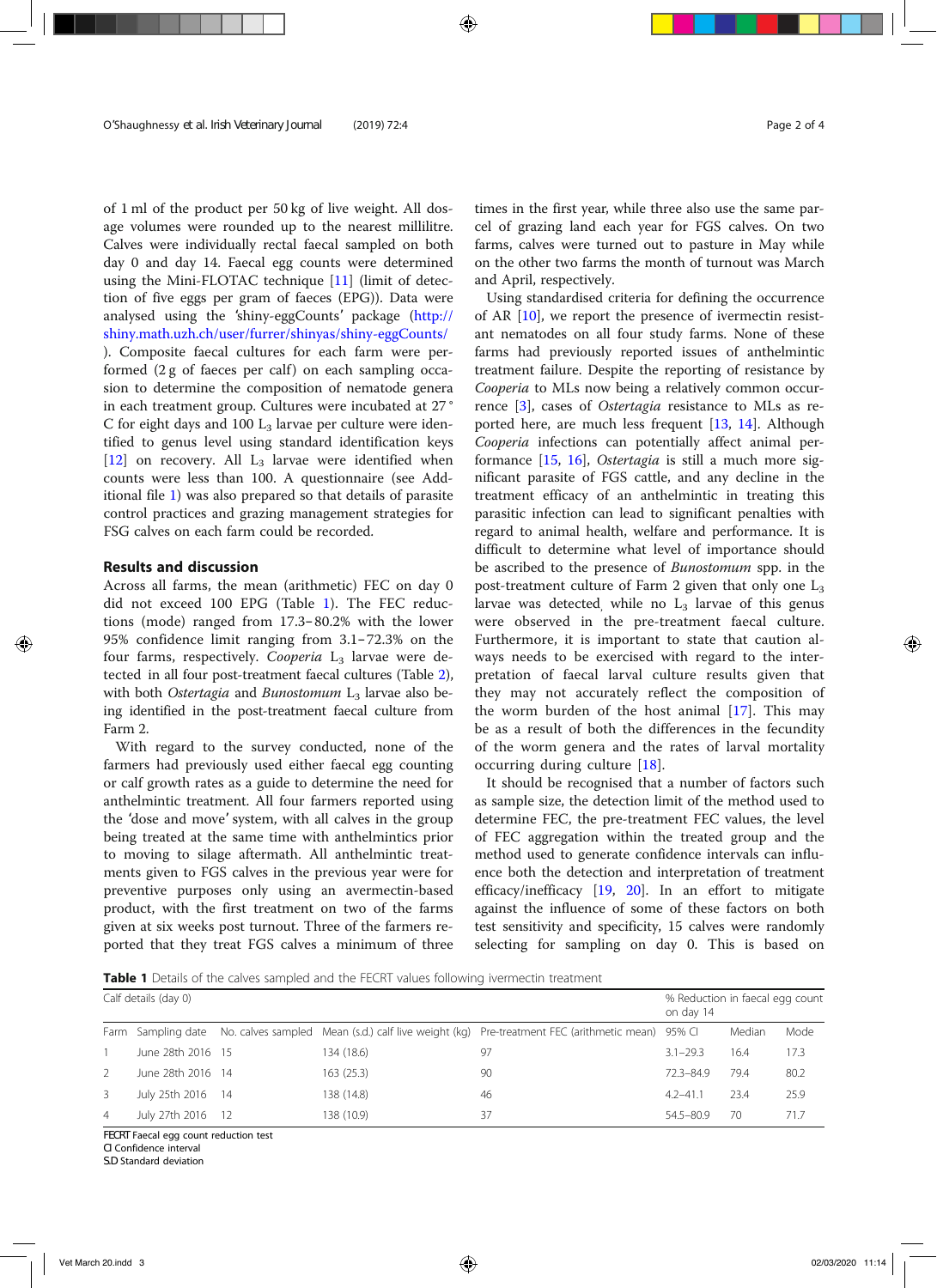of 1 ml of the product per 50 kg of live weight. All dosage volumes were rounded up to the nearest millilitre. Calves were individually rectal faecal sampled on both day 0 and day 14. Faecal egg counts were determined using the Mini-FLOTAC technique [11] (limit of detection of five eggs per gram of faeces (EPG)). Data were analysed using the 'shiny-eggCounts' package (http:// shiny.math.uzh.ch/user/furrer/shinyas/shiny-eggCounts/ ). Composite faecal cultures for each farm were performed  $(2 g of faces per calf)$  on each sampling occasion to determine the composition of nematode genera in each treatment group. Cultures were incubated at 27 ° C for eight days and 100  $L_3$  larvae per culture were identified to genus level using standard identification keys  $[12]$  on recovery. All  $L_3$  larvae were identified when counts were less than 100. A questionnaire (see Additional file 1) was also prepared so that details of parasite control practices and grazing management strategies for FSG calves on each farm could be recorded.

#### Results and discussion

Across all farms, the mean (arithmetic) FEC on day 0 did not exceed 100 EPG (Table 1). The FEC reductions (mode) ranged from 17.3–80.2% with the lower 95% confidence limit ranging from 3.1–72.3% on the four farms, respectively. Cooperia  $L_3$  larvae were detected in all four post-treatment faecal cultures (Table 2), with both Ostertagia and Bunostomum  $L_3$  larvae also being identified in the post-treatment faecal culture from Farm 2.

With regard to the survey conducted, none of the farmers had previously used either faecal egg counting or calf growth rates as a guide to determine the need for anthelmintic treatment. All four farmers reported using the 'dose and move' system, with all calves in the group being treated at the same time with anthelmintics prior to moving to silage aftermath. All anthelmintic treatments given to FGS calves in the previous year were for preventive purposes only using an avermectin-based product, with the first treatment on two of the farms given at six weeks post turnout. Three of the farmers reported that they treat FGS calves a minimum of three times in the first year, while three also use the same parcel of grazing land each year for FGS calves. On two farms, calves were turned out to pasture in May while on the other two farms the month of turnout was March and April, respectively.

Using standardised criteria for defining the occurrence of AR [10], we report the presence of ivermectin resistant nematodes on all four study farms. None of these farms had previously reported issues of anthelmintic treatment failure. Despite the reporting of resistance by Cooperia to MLs now being a relatively common occurrence [3], cases of Ostertagia resistance to MLs as reported here, are much less frequent [13, 14]. Although Cooperia infections can potentially affect animal performance [15, 16], Ostertagia is still a much more significant parasite of FGS cattle, and any decline in the treatment efficacy of an anthelmintic in treating this parasitic infection can lead to significant penalties with regard to animal health, welfare and performance. It is difficult to determine what level of importance should be ascribed to the presence of Bunostomum spp. in the post-treatment culture of Farm 2 given that only one  $L_3$ larvae was detected, while no  $L_3$  larvae of this genus were observed in the pre-treatment faecal culture. Furthermore, it is important to state that caution always needs to be exercised with regard to the interpretation of faecal larval culture results given that they may not accurately reflect the composition of the worm burden of the host animal [17]. This may be as a result of both the differences in the fecundity of the worm genera and the rates of larval mortality occurring during culture [18].

It should be recognised that a number of factors such as sample size, the detection limit of the method used to determine FEC, the pre-treatment FEC values, the level of FEC aggregation within the treated group and the method used to generate confidence intervals can influence both the detection and interpretation of treatment efficacy/inefficacy [19, 20]. In an effort to mitigate against the influence of some of these factors on both test sensitivity and specificity, 15 calves were randomly selecting for sampling on day 0. This is based on

Table 1 Details of the calves sampled and the FECRT values following ivermectin treatment

|                | Calf details (day 0) | % Reduction in faecal egg count<br>on day 14 |            |                                                                                                                    |               |        |      |
|----------------|----------------------|----------------------------------------------|------------|--------------------------------------------------------------------------------------------------------------------|---------------|--------|------|
|                |                      |                                              |            | Farm Sampling date No. calves sampled Mean (s.d.) calf live weight (kg) Pre-treatment FEC (arithmetic mean) 95% CI |               | Median | Mode |
|                | June 28th 2016 15    |                                              | 134 (18.6) | 97                                                                                                                 | $3.1 - 29.3$  | 16.4   | 17.3 |
| $\overline{2}$ | June 28th 2016 14    |                                              | 163(25.3)  | 90                                                                                                                 | $72.3 - 84.9$ | 79.4   | 80.2 |
| $\mathbf{3}$   | July 25th 2016 14    |                                              | 138 (14.8) | 46                                                                                                                 | $4.2 - 41.1$  | 23.4   | 25.9 |
| $\overline{4}$ | July 27th 2016       | 12                                           | 138 (10.9) | 37                                                                                                                 | 54.5-80.9     | 70     | 71.7 |

FECRT Faecal egg count reduction test

CI Confidence interval S.D Standard deviation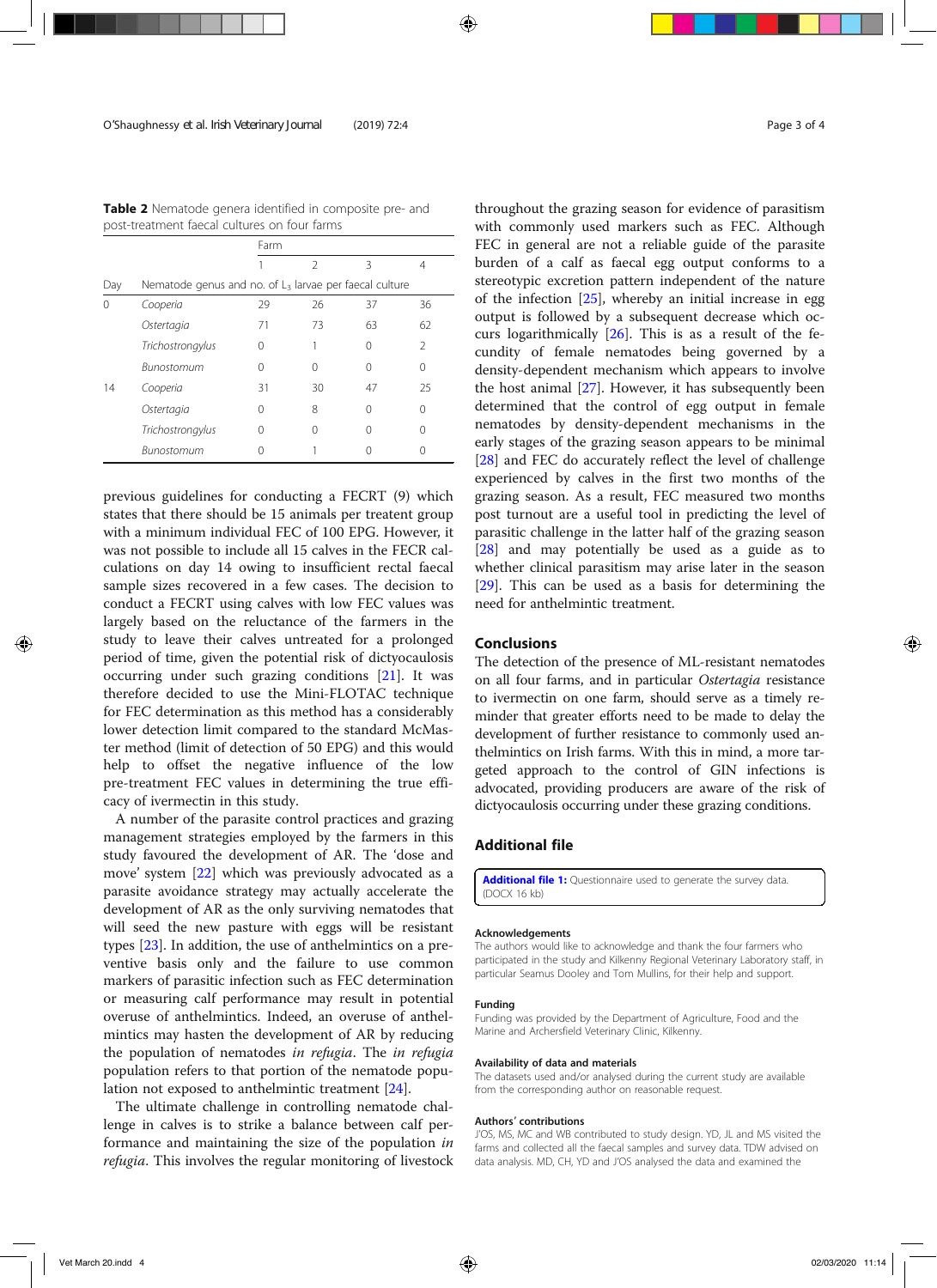Table 2 Nematode genera identified in composite pre- and post-treatment faecal cultures on four farms

|     |                   | Farm                                                     |               |    |                |  |  |  |  |
|-----|-------------------|----------------------------------------------------------|---------------|----|----------------|--|--|--|--|
|     |                   |                                                          | $\mathcal{D}$ | ξ  | 4              |  |  |  |  |
| Day |                   | Nematode genus and no. of $L3$ larvae per faecal culture |               |    |                |  |  |  |  |
| 0   | Cooperia          | 29                                                       | 26            | 37 | 36             |  |  |  |  |
|     | Ostertagia        | 71                                                       | 73            | 63 | 62             |  |  |  |  |
|     | Trichostrongylus  | 0                                                        |               | 0  | $\mathfrak{D}$ |  |  |  |  |
|     | <b>Bunostomum</b> | 0                                                        | Ω             | Ω  | 0              |  |  |  |  |
| 14  | Cooperia          | 31                                                       | 30            | 47 | 25             |  |  |  |  |
|     | Ostertagia        | 0                                                        | 8             | Ω  | U              |  |  |  |  |
|     | Trichostrongylus  | 0                                                        | 0             | Ω  | 0              |  |  |  |  |
|     | Bunostomum        |                                                          |               |    |                |  |  |  |  |

previous guidelines for conducting a FECRT (9) which states that there should be 15 animals per treatent group with a minimum individual FEC of 100 EPG. However, it was not possible to include all 15 calves in the FECR calculations on day 14 owing to insufficient rectal faecal sample sizes recovered in a few cases. The decision to conduct a FECRT using calves with low FEC values was largely based on the reluctance of the farmers in the study to leave their calves untreated for a prolonged period of time, given the potential risk of dictyocaulosis occurring under such grazing conditions [21]. It was therefore decided to use the Mini-FLOTAC technique for FEC determination as this method has a considerably lower detection limit compared to the standard McMaster method (limit of detection of 50 EPG) and this would help to offset the negative influence of the low pre-treatment FEC values in determining the true efficacy of ivermectin in this study.

A number of the parasite control practices and grazing management strategies employed by the farmers in this study favoured the development of AR. The 'dose and move' system [22] which was previously advocated as a parasite avoidance strategy may actually accelerate the development of AR as the only surviving nematodes that will seed the new pasture with eggs will be resistant types [23]. In addition, the use of anthelmintics on a preventive basis only and the failure to use common markers of parasitic infection such as FEC determination or measuring calf performance may result in potential overuse of anthelmintics. Indeed, an overuse of anthelmintics may hasten the development of AR by reducing the population of nematodes in refugia. The in refugia population refers to that portion of the nematode population not exposed to anthelmintic treatment [24].

The ultimate challenge in controlling nematode challenge in calves is to strike a balance between calf performance and maintaining the size of the population in refugia. This involves the regular monitoring of livestock throughout the grazing season for evidence of parasitism with commonly used markers such as FEC. Although FEC in general are not a reliable guide of the parasite burden of a calf as faecal egg output conforms to a stereotypic excretion pattern independent of the nature of the infection [25], whereby an initial increase in egg output is followed by a subsequent decrease which occurs logarithmically [26]. This is as a result of the fecundity of female nematodes being governed by a density-dependent mechanism which appears to involve the host animal [27]. However, it has subsequently been determined that the control of egg output in female nematodes by density-dependent mechanisms in the early stages of the grazing season appears to be minimal [28] and FEC do accurately reflect the level of challenge experienced by calves in the first two months of the grazing season. As a result, FEC measured two months post turnout are a useful tool in predicting the level of parasitic challenge in the latter half of the grazing season [28] and may potentially be used as a guide as to whether clinical parasitism may arise later in the season [29]. This can be used as a basis for determining the need for anthelmintic treatment.

#### Conclusions

The detection of the presence of ML-resistant nematodes on all four farms, and in particular Ostertagia resistance to ivermectin on one farm, should serve as a timely reminder that greater efforts need to be made to delay the development of further resistance to commonly used anthelmintics on Irish farms. With this in mind, a more targeted approach to the control of GIN infections is advocated, providing producers are aware of the risk of dictyocaulosis occurring under these grazing conditions.

### Additional file

Additional file 1: Questionnaire used to generate the survey data. (DOCX 16 kb)

#### Acknowledgements

The authors would like to acknowledge and thank the four farmers who participated in the study and Kilkenny Regional Veterinary Laboratory staff, in particular Seamus Dooley and Tom Mullins, for their help and support.

#### Funding

Funding was provided by the Department of Agriculture, Food and the Marine and Archersfield Veterinary Clinic, Kilkenny.

#### Availability of data and materials

The datasets used and/or analysed during the current study are available from the corresponding author on reasonable request.

#### Authors' contributions

J'OS, MS, MC and WB contributed to study design. YD, JL and MS visited the farms and collected all the faecal samples and survey data. TDW advised on data analysis. MD, CH, YD and J'OS analysed the data and examined the